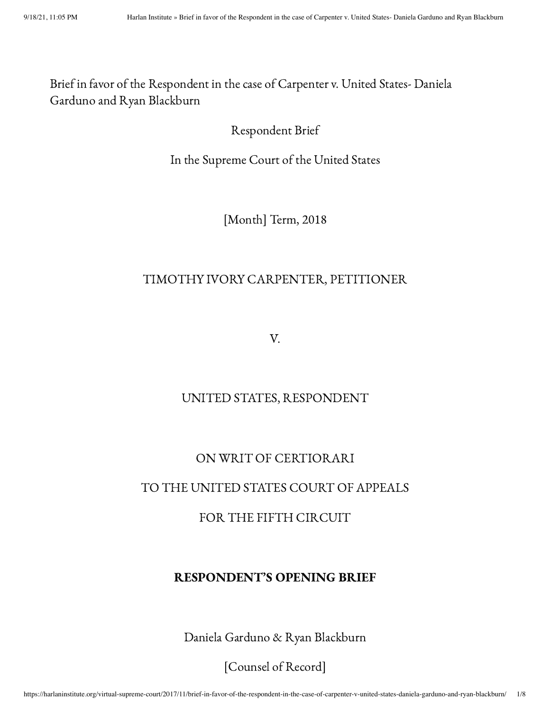Brief in favor of the Respondent in the case of Carpenter v. United States- Daniela Garduno and Ryan Blackburn

## Respondent Brief

In the Supreme Court of the United States

[Month] Term, 2018

### TIMOTHY IVORY CARPENTER, PETITIONER

V.

## UNITED STATES, RESPONDENT

## ON WRIT OF CERTIORARI

#### TO THE UNITED STATES COURT OF APPEALS

## FOR THE FIFTH CIRCUIT

### RESPONDENT'S OPENING BRIEF

Daniela Garduno & Ryan Blackburn

[Counsel of Record]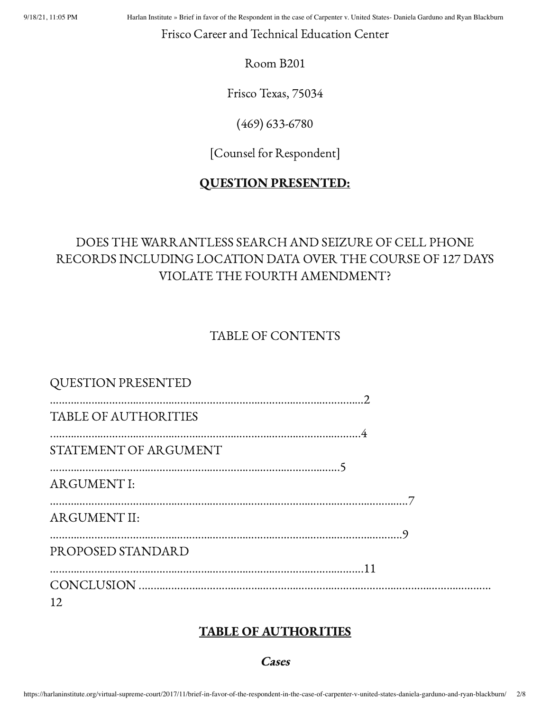9/18/21, 11:05 PM Harlan Institute » Brief in favor of the Respondent in the case of Carpenter v. United States- Daniela Garduno and Ryan Blackburn

Frisco Career and Technical Education Center

Room B201

Frisco Texas, 75034

(469) 633-6780

[Counsel for Respondent]

## QUESTION PRESENTED:

# DOES THE WARRANTLESS SEARCH AND SEIZURE OF CELL PHONE RECORDS INCLUDING LOCATION DATA OVER THE COURSE OF 127 DAYS VIOLATE THE FOURTH AMENDMENT?

TABLE OF CONTENTS

| <b>QUESTION PRESENTED</b>   |  |
|-----------------------------|--|
| <b>TABLE OF AUTHORITIES</b> |  |
| STATEMENT OF ARGUMENT       |  |
| <b>ARGUMENT I:</b>          |  |
| <b>ARGUMENT II:</b>         |  |
| PROPOSED STANDARD           |  |
| 12                          |  |

# TABLE OF AUTHORITIES

**Cases**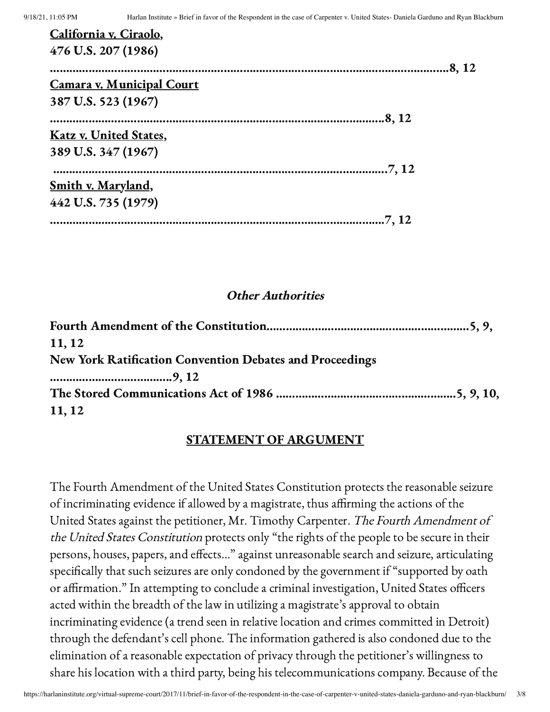| California v. Ciraolo,           |        |
|----------------------------------|--------|
| 476 U.S. 207 (1986)              |        |
|                                  | .8, 12 |
| <b>Camara v. Municipal Court</b> |        |
| 387 U.S. 523 (1967)              |        |
| .8, 12                           |        |
| <b>Katz v. United States,</b>    |        |
| 389 U.S. 347 (1967)              |        |
|                                  |        |
| <u>Smith v. Maryland,</u>        |        |
| 442 U.S. 735 (1979)              |        |
|                                  |        |

#### Other Authorities

| 11, 12                                                   |  |
|----------------------------------------------------------|--|
| New York Ratification Convention Debates and Proceedings |  |
|                                                          |  |
|                                                          |  |
| 11, 12                                                   |  |

### STATEMENT OF ARGUMENT

The Fourth Amendment of the United States Constitution protects the reasonable seizure of incriminating evidence if allowed by a magistrate, thus affirming the actions of the United States against the petitioner, Mr. Timothy Carpenter. The Fourth Amendment of the United States Constitution protects only "the rights of the people to be secure in their persons, houses, papers, and effects…" against unreasonable search and seizure, articulating specifically that such seizures are only condoned by the government if "supported by oath or affirmation." In attempting to conclude a criminal investigation, United States officers acted within the breadth of the law in utilizing a magistrate's approval to obtain incriminating evidence (a trend seen in relative location and crimes committed in Detroit) through the defendant's cell phone. The information gathered is also condoned due to the elimination of a reasonable expectation of privacy through the petitioner's willingness to share his location with a third party, being his telecommunications company. Because of the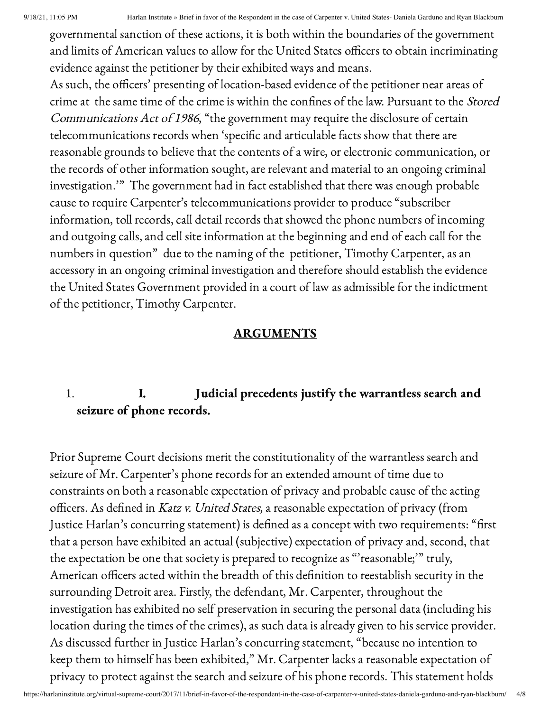governmental sanction of these actions, it is both within the boundaries of the government and limits of American values to allow for the United States officers to obtain incriminating evidence against the petitioner by their exhibited ways and means.

As such, the officers' presenting of location-based evidence of the petitioner near areas of crime at the same time of the crime is within the confines of the law. Pursuant to the Stored Communications Act of <sup>1986</sup>, "the government may require the disclosure of certain telecommunications records when 'specific and articulable facts show that there are reasonable grounds to believe that the contents of a wire, or electronic communication, or the records of other information sought, are relevant and material to an ongoing criminal investigation.'" The government had in fact established that there was enough probable cause to require Carpenter's telecommunications provider to produce "subscriber information, toll records, call detail records that showed the phone numbers of incoming and outgoing calls, and cell site information at the beginning and end of each call for the numbers in question" due to the naming of the petitioner, Timothy Carpenter, as an accessory in an ongoing criminal investigation and therefore should establish the evidence the United States Government provided in a court of law as admissible for the indictment of the petitioner, Timothy Carpenter.

## ARGUMENTS

# 1. I. Judicial precedents justify the warrantless search and seizure of phone records.

Prior Supreme Court decisions merit the constitutionality of the warrantless search and seizure of Mr. Carpenter's phone records for an extended amount of time due to constraints on both a reasonable expectation of privacy and probable cause of the acting officers. As defined in Katz v. United States, a reasonable expectation of privacy (from Justice Harlan's concurring statement) is defined as a concept with two requirements: "first that a person have exhibited an actual (subjective) expectation of privacy and, second, that the expectation be one that society is prepared to recognize as "'reasonable;'" truly, American officers acted within the breadth of this definition to reestablish security in the surrounding Detroit area. Firstly, the defendant, Mr. Carpenter, throughout the investigation has exhibited no self preservation in securing the personal data (including his location during the times of the crimes), as such data is already given to his service provider. As discussed further in Justice Harlan's concurring statement, "because no intention to keep them to himself has been exhibited," Mr. Carpenter lacks a reasonable expectation of privacy to protect against the search and seizure of his phone records. This statement holds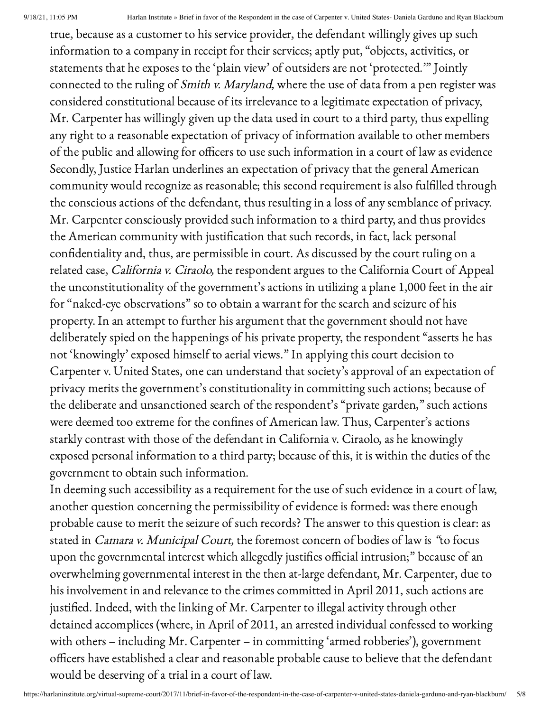true, because as a customer to his service provider, the defendant willingly gives up such information to a company in receipt for their services; aptly put, "objects, activities, or statements that he exposes to the 'plain view' of outsiders are not 'protected.'" Jointly connected to the ruling of Smith v. Maryland, where the use of data from a pen register was considered constitutional because of its irrelevance to a legitimate expectation of privacy, Mr. Carpenter has willingly given up the data used in court to a third party, thus expelling any right to a reasonable expectation of privacy of information available to other members of the public and allowing for officers to use such information in a court of law as evidence Secondly, Justice Harlan underlines an expectation of privacy that the general American community would recognize as reasonable; this second requirement is also fulfilled through the conscious actions of the defendant, thus resulting in a loss of any semblance of privacy. Mr. Carpenter consciously provided such information to a third party, and thus provides the American community with justification that such records, in fact, lack personal confidentiality and, thus, are permissible in court. As discussed by the court ruling on a related case, California v. Ciraolo, the respondent argues to the California Court of Appeal the unconstitutionality of the government's actions in utilizing a plane 1,000 feet in the air for "naked-eye observations" so to obtain a warrant for the search and seizure of his property. In an attempt to further his argument that the government should not have deliberately spied on the happenings of his private property, the respondent "asserts he has not 'knowingly' exposed himself to aerial views." In applying this court decision to Carpenter v. United States, one can understand that society's approval of an expectation of privacy merits the government's constitutionality in committing such actions; because of the deliberate and unsanctioned search of the respondent's "private garden," such actions were deemed too extreme for the confines of American law. Thus, Carpenter's actions starkly contrast with those of the defendant in California v. Ciraolo, as he knowingly exposed personal information to a third party; because of this, it is within the duties of the government to obtain such information.

In deeming such accessibility as a requirement for the use of such evidence in a court of law, another question concerning the permissibility of evidence is formed: was there enough probable cause to merit the seizure of such records? The answer to this question is clear: as stated in Camara v. Municipal Court, the foremost concern of bodies of law is "to focus upon the governmental interest which allegedly justifies official intrusion;" because of an overwhelming governmental interest in the then at-large defendant, Mr. Carpenter, due to his involvement in and relevance to the crimes committed in April 2011, such actions are justified. Indeed, with the linking of Mr. Carpenter to illegal activity through other detained accomplices (where, in April of 2011, an arrested individual confessed to working with others – including Mr. Carpenter – in committing 'armed robberies'), government officers have established a clear and reasonable probable cause to believe that the defendant would be deserving of a trial in a court of law.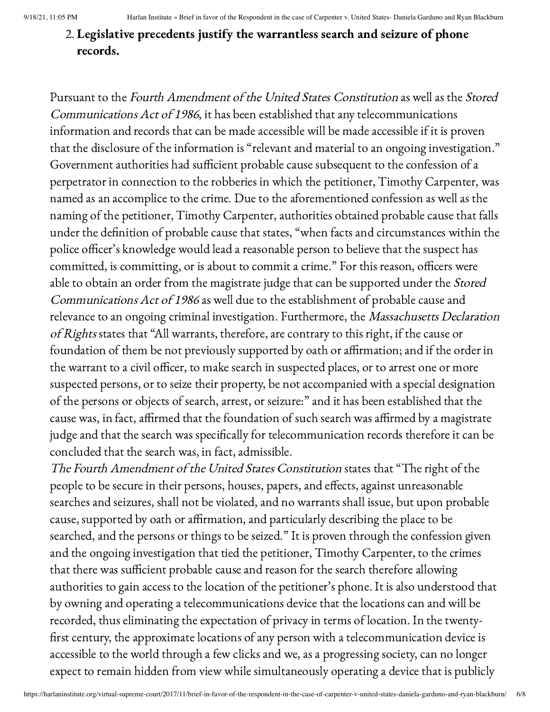# 2. Legislative precedents justify the warrantless search and seizure of phone records.

Pursuant to the Fourth Amendment of the United States Constitution as well as the Stored Communications Act of <sup>1986</sup>, it has been established that any telecommunications information and records that can be made accessible will be made accessible if it is proven that the disclosure of the information is "relevant and material to an ongoing investigation." Government authorities had sufficient probable cause subsequent to the confession of a perpetrator in connection to the robberies in which the petitioner, Timothy Carpenter, was named as an accomplice to the crime. Due to the aforementioned confession as well as the naming of the petitioner, Timothy Carpenter, authorities obtained probable cause that falls under the definition of probable cause that states, "when facts and circumstances within the police officer's knowledge would lead a reasonable person to believe that the suspect has committed, is committing, or is about to commit a crime." For this reason, officers were able to obtain an order from the magistrate judge that can be supported under the Stored Communications Act of <sup>1986</sup> as well due to the establishment of probable cause and relevance to an ongoing criminal investigation. Furthermore, the *Massachusetts Declaration* of Rights states that "All warrants, therefore, are contrary to this right, if the cause or foundation of them be not previously supported by oath or affirmation; and if the order in the warrant to a civil officer, to make search in suspected places, or to arrest one or more suspected persons, or to seize their property, be not accompanied with a special designation of the persons or objects of search, arrest, or seizure:" and it has been established that the cause was, in fact, affirmed that the foundation of such search was affirmed by a magistrate judge and that the search was specifically for telecommunication records therefore it can be concluded that the search was, in fact, admissible.

The Fourth Amendment of the United States Constitution states that "The right of the people to be secure in their persons, houses, papers, and effects, against unreasonable searches and seizures, shall not be violated, and no warrants shall issue, but upon probable cause, supported by oath or affirmation, and particularly describing the place to be searched, and the persons or things to be seized." It is proven through the confession given and the ongoing investigation that tied the petitioner, Timothy Carpenter, to the crimes that there was sufficient probable cause and reason for the search therefore allowing authorities to gain access to the location of the petitioner's phone. It is also understood that by owning and operating a telecommunications device that the locations can and will be recorded, thus eliminating the expectation of privacy in terms of location. In the twenty first century, the approximate locations of any person with a telecommunication device is accessible to the world through a few clicks and we, as a progressing society, can no longer expect to remain hidden from view while simultaneously operating a device that is publicly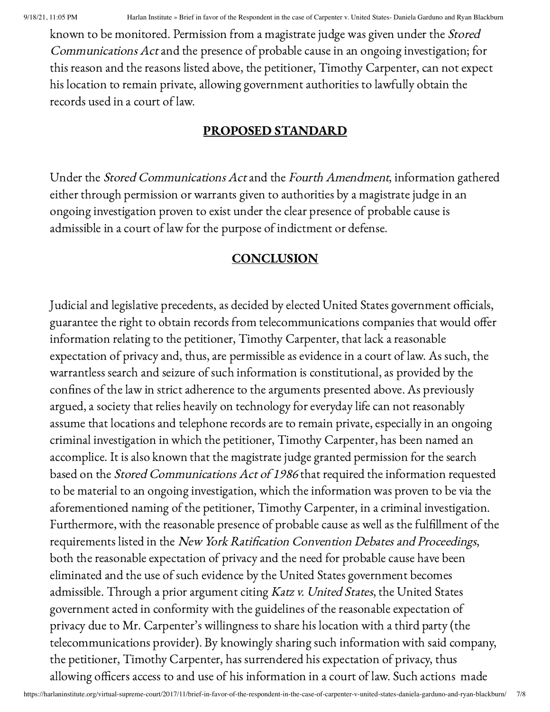known to be monitored. Permission from a magistrate judge was given under the Stored Communications Actand the presence of probable cause in an ongoing investigation; for this reason and the reasons listed above, the petitioner, Timothy Carpenter, can not expect his location to remain private, allowing government authorities to lawfully obtain the records used in a court of law.

### PROPOSED STANDARD

Under the Stored Communications Actand the Fourth Amendment, information gathered either through permission or warrants given to authorities by a magistrate judge in an ongoing investigation proven to exist under the clear presence of probable cause is admissible in a court of law for the purpose of indictment or defense.

## **CONCLUSION**

Judicial and legislative precedents, as decided by elected United States government officials, guarantee the right to obtain records from telecommunications companies that would offer information relating to the petitioner, Timothy Carpenter, that lack a reasonable expectation of privacy and, thus, are permissible as evidence in a court of law. As such, the warrantless search and seizure of such information is constitutional, as provided by the confines of the law in strict adherence to the arguments presented above. As previously argued, a society that relies heavily on technology for everyday life can not reasonably assume that locations and telephone records are to remain private, especially in an ongoing criminal investigation in which the petitioner, Timothy Carpenter, has been named an accomplice. It is also known that the magistrate judge granted permission for the search based on the Stored Communications Act of <sup>1986</sup> that required the information requested to be material to an ongoing investigation, which the information was proven to be via the aforementioned naming of the petitioner, Timothy Carpenter, in a criminal investigation. Furthermore, with the reasonable presence of probable cause as well as the fulfillment of the requirements listed in the New York Ratification Convention Debates and Proceedings, both the reasonable expectation of privacy and the need for probable cause have been eliminated and the use of such evidence by the United States government becomes admissible. Through a prior argument citing Katz v. United States, the United States government acted in conformity with the guidelines of the reasonable expectation of privacy due to Mr. Carpenter's willingness to share his location with a third party (the telecommunications provider). By knowingly sharing such information with said company, the petitioner, Timothy Carpenter, has surrendered his expectation of privacy, thus allowing officers access to and use of his information in a court of law. Such actions made